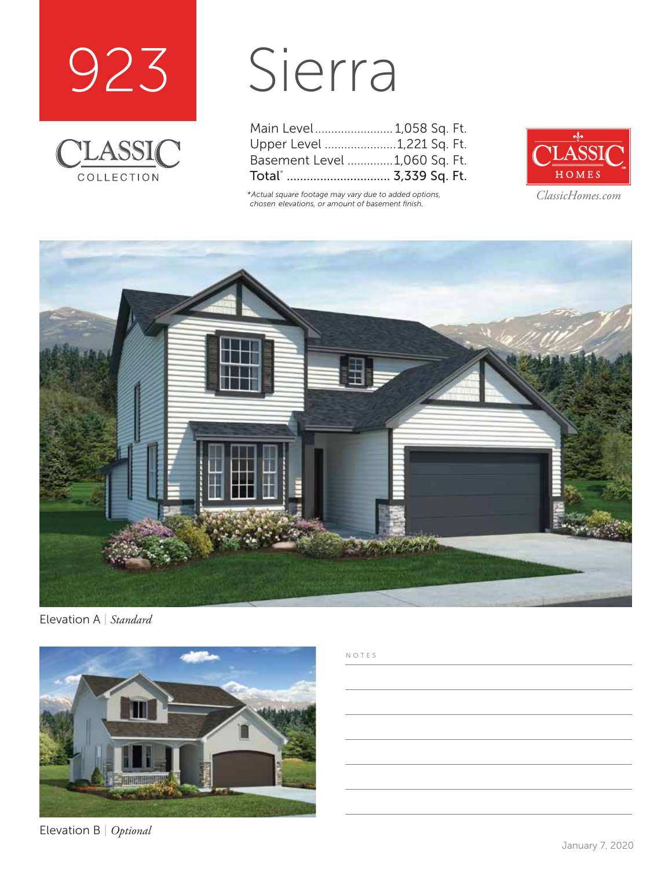



## Sierra

| Main Level 1,058 Sq. Ft.     |  |  |
|------------------------------|--|--|
| Upper Level 1,221 Sq. Ft.    |  |  |
| Basement Level 1,060 Sq. Ft. |  |  |
| Total*  3,339 Sq. Ft.        |  |  |

*\*Actual square footage may vary due to added options, chosen elevations, or amount of basement finish.*



*ClassicHomes.com*



Elevation A | *Standard*



Elevation B | *Optional*

## NOTES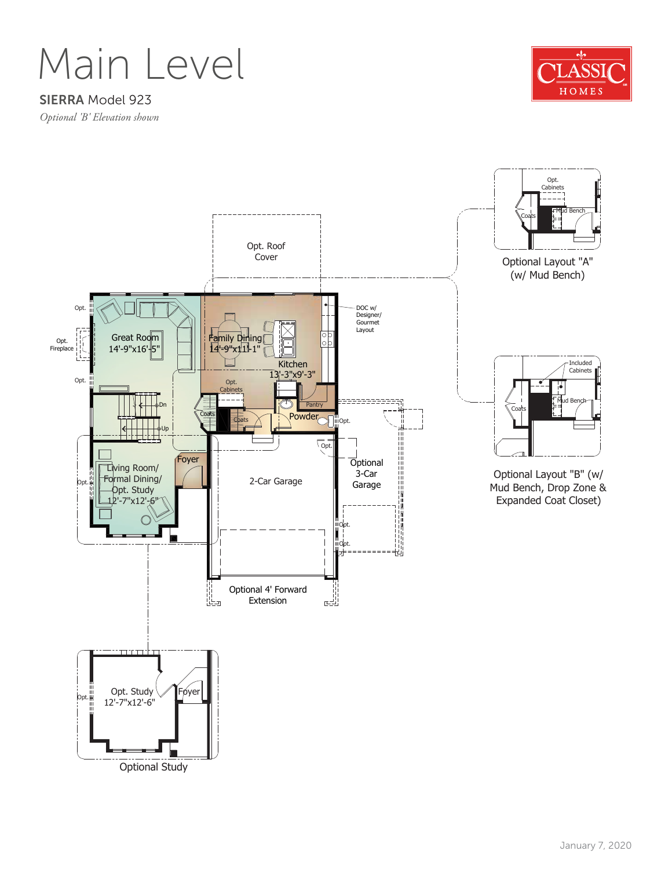Main Level

## SIERRA Model 923

*Optional 'B' Elevation shown*



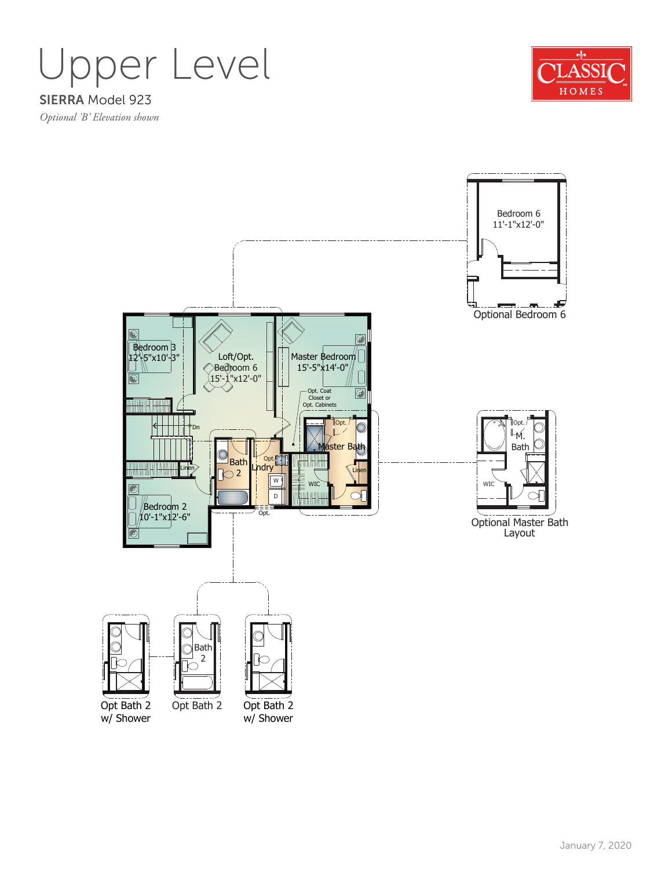



Bedroom 6 11'-1"x12'-0" Æ ĴП, Optional Bedroom 6 F ! Bedroom<sup>3</sup> Loft/Opt. 12'-5"x10'-3" Master Bedroom 15'-5"x14'-0" Bedroom 6 15'-1"x12'-0" Opt. Coat Closet or Opt. Cabinets  $\circledcirc$ <u>mama puni</u>n Opt. Opt. <sup>≽</sup>Dn M. Bath Master Bath Lindry Bath  $\overline{\bigcirc}$  2 Linen W WIC WIC  $\bigcirc$ D Bedroom 2 Opt. 10'-1"x12'-6" Optional Master Bath Layout Bath 2 Opt Bath 2 Opt Bath 2 Opt Bath 2 w/ Shower w/ Shower

January 7, 2020